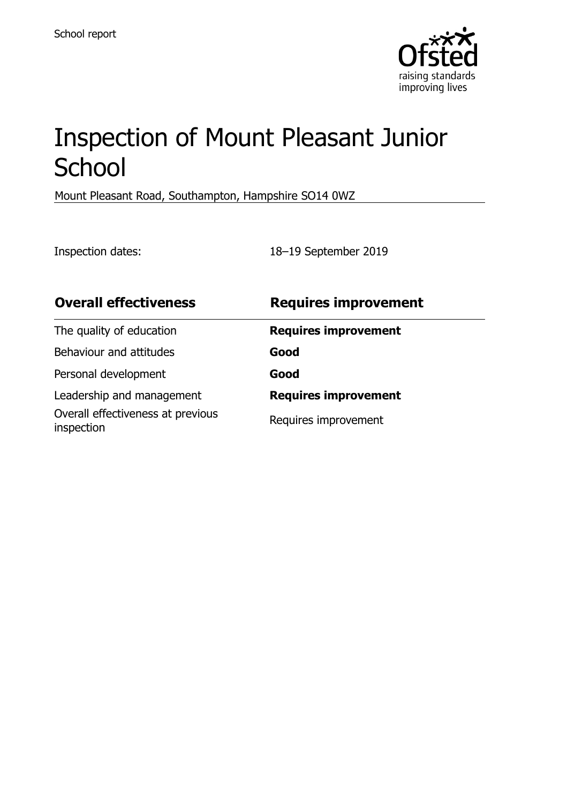

# Inspection of Mount Pleasant Junior **School**

Mount Pleasant Road, Southampton, Hampshire SO14 0WZ

Inspection dates: 18–19 September 2019

| <b>Overall effectiveness</b>                    | <b>Requires improvement</b> |
|-------------------------------------------------|-----------------------------|
| The quality of education                        | <b>Requires improvement</b> |
| Behaviour and attitudes                         | Good                        |
| Personal development                            | Good                        |
| Leadership and management                       | <b>Requires improvement</b> |
| Overall effectiveness at previous<br>inspection | Requires improvement        |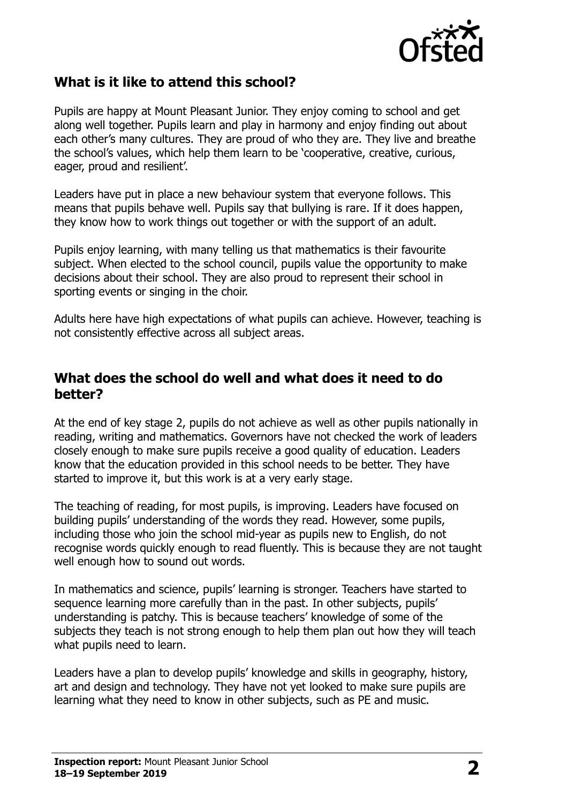

### **What is it like to attend this school?**

Pupils are happy at Mount Pleasant Junior. They enjoy coming to school and get along well together. Pupils learn and play in harmony and enjoy finding out about each other's many cultures. They are proud of who they are. They live and breathe the school's values, which help them learn to be 'cooperative, creative, curious, eager, proud and resilient'.

Leaders have put in place a new behaviour system that everyone follows. This means that pupils behave well. Pupils say that bullying is rare. If it does happen, they know how to work things out together or with the support of an adult.

Pupils enjoy learning, with many telling us that mathematics is their favourite subject. When elected to the school council, pupils value the opportunity to make decisions about their school. They are also proud to represent their school in sporting events or singing in the choir.

Adults here have high expectations of what pupils can achieve. However, teaching is not consistently effective across all subject areas.

#### **What does the school do well and what does it need to do better?**

At the end of key stage 2, pupils do not achieve as well as other pupils nationally in reading, writing and mathematics. Governors have not checked the work of leaders closely enough to make sure pupils receive a good quality of education. Leaders know that the education provided in this school needs to be better. They have started to improve it, but this work is at a very early stage.

The teaching of reading, for most pupils, is improving. Leaders have focused on building pupils' understanding of the words they read. However, some pupils, including those who join the school mid-year as pupils new to English, do not recognise words quickly enough to read fluently. This is because they are not taught well enough how to sound out words.

In mathematics and science, pupils' learning is stronger. Teachers have started to sequence learning more carefully than in the past. In other subjects, pupils' understanding is patchy. This is because teachers' knowledge of some of the subjects they teach is not strong enough to help them plan out how they will teach what pupils need to learn.

Leaders have a plan to develop pupils' knowledge and skills in geography, history, art and design and technology. They have not yet looked to make sure pupils are learning what they need to know in other subjects, such as PE and music.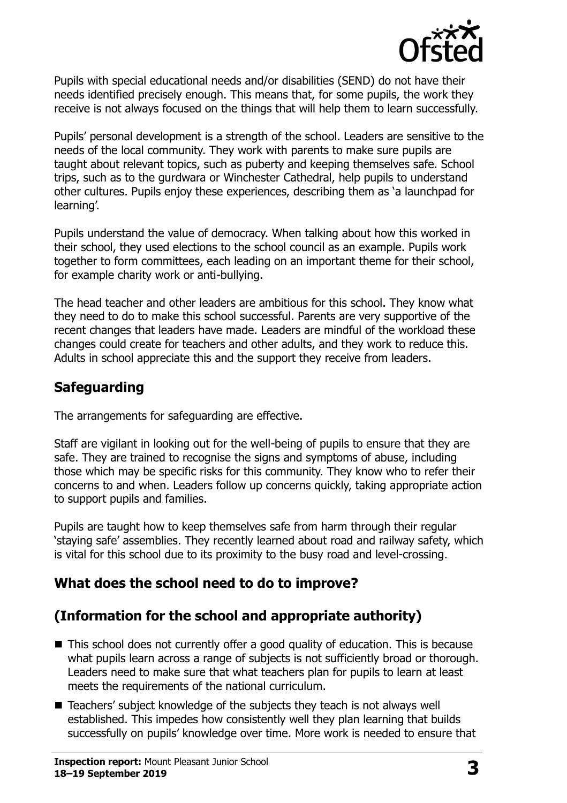

Pupils with special educational needs and/or disabilities (SEND) do not have their needs identified precisely enough. This means that, for some pupils, the work they receive is not always focused on the things that will help them to learn successfully.

Pupils' personal development is a strength of the school. Leaders are sensitive to the needs of the local community. They work with parents to make sure pupils are taught about relevant topics, such as puberty and keeping themselves safe. School trips, such as to the gurdwara or Winchester Cathedral, help pupils to understand other cultures. Pupils enjoy these experiences, describing them as 'a launchpad for learning'.

Pupils understand the value of democracy. When talking about how this worked in their school, they used elections to the school council as an example. Pupils work together to form committees, each leading on an important theme for their school, for example charity work or anti-bullying.

The head teacher and other leaders are ambitious for this school. They know what they need to do to make this school successful. Parents are very supportive of the recent changes that leaders have made. Leaders are mindful of the workload these changes could create for teachers and other adults, and they work to reduce this. Adults in school appreciate this and the support they receive from leaders.

## **Safeguarding**

The arrangements for safeguarding are effective.

Staff are vigilant in looking out for the well-being of pupils to ensure that they are safe. They are trained to recognise the signs and symptoms of abuse, including those which may be specific risks for this community. They know who to refer their concerns to and when. Leaders follow up concerns quickly, taking appropriate action to support pupils and families.

Pupils are taught how to keep themselves safe from harm through their regular 'staying safe' assemblies. They recently learned about road and railway safety, which is vital for this school due to its proximity to the busy road and level-crossing.

## **What does the school need to do to improve?**

## **(Information for the school and appropriate authority)**

- This school does not currently offer a good quality of education. This is because what pupils learn across a range of subjects is not sufficiently broad or thorough. Leaders need to make sure that what teachers plan for pupils to learn at least meets the requirements of the national curriculum.
- Teachers' subject knowledge of the subjects they teach is not always well established. This impedes how consistently well they plan learning that builds successfully on pupils' knowledge over time. More work is needed to ensure that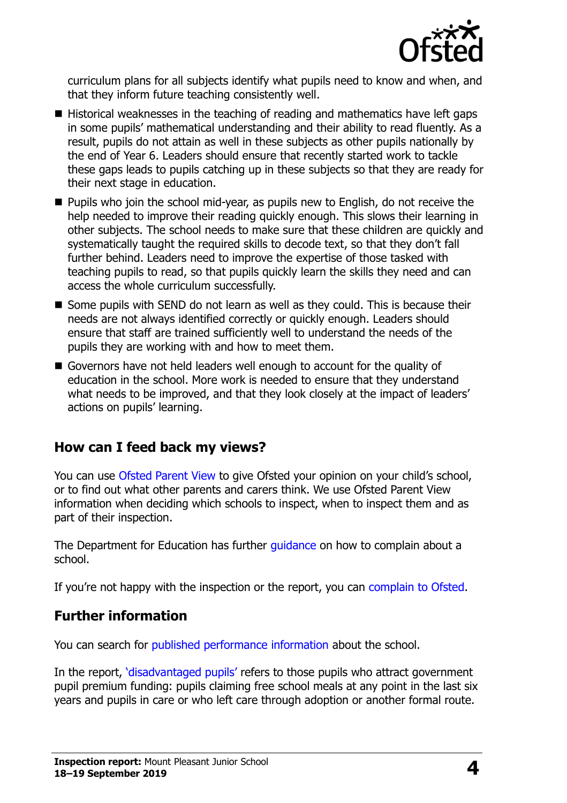

curriculum plans for all subjects identify what pupils need to know and when, and that they inform future teaching consistently well.

- Historical weaknesses in the teaching of reading and mathematics have left gaps in some pupils' mathematical understanding and their ability to read fluently. As a result, pupils do not attain as well in these subjects as other pupils nationally by the end of Year 6. Leaders should ensure that recently started work to tackle these gaps leads to pupils catching up in these subjects so that they are ready for their next stage in education.
- **Pupils who join the school mid-year, as pupils new to English, do not receive the** help needed to improve their reading quickly enough. This slows their learning in other subjects. The school needs to make sure that these children are quickly and systematically taught the required skills to decode text, so that they don't fall further behind. Leaders need to improve the expertise of those tasked with teaching pupils to read, so that pupils quickly learn the skills they need and can access the whole curriculum successfully.
- Some pupils with SEND do not learn as well as they could. This is because their needs are not always identified correctly or quickly enough. Leaders should ensure that staff are trained sufficiently well to understand the needs of the pupils they are working with and how to meet them.
- Governors have not held leaders well enough to account for the quality of education in the school. More work is needed to ensure that they understand what needs to be improved, and that they look closely at the impact of leaders' actions on pupils' learning.

### **How can I feed back my views?**

You can use [Ofsted Parent View](http://parentview.ofsted.gov.uk/) to give Ofsted your opinion on your child's school, or to find out what other parents and carers think. We use Ofsted Parent View information when deciding which schools to inspect, when to inspect them and as part of their inspection.

The Department for Education has further quidance on how to complain about a school.

If you're not happy with the inspection or the report, you can [complain to Ofsted.](http://www.gov.uk/complain-ofsted-report)

### **Further information**

You can search for [published performance information](http://www.compare-school-performance.service.gov.uk/) about the school.

In the report, '[disadvantaged pupils](http://www.gov.uk/guidance/pupil-premium-information-for-schools-and-alternative-provision-settings)' refers to those pupils who attract government pupil premium funding: pupils claiming free school meals at any point in the last six years and pupils in care or who left care through adoption or another formal route.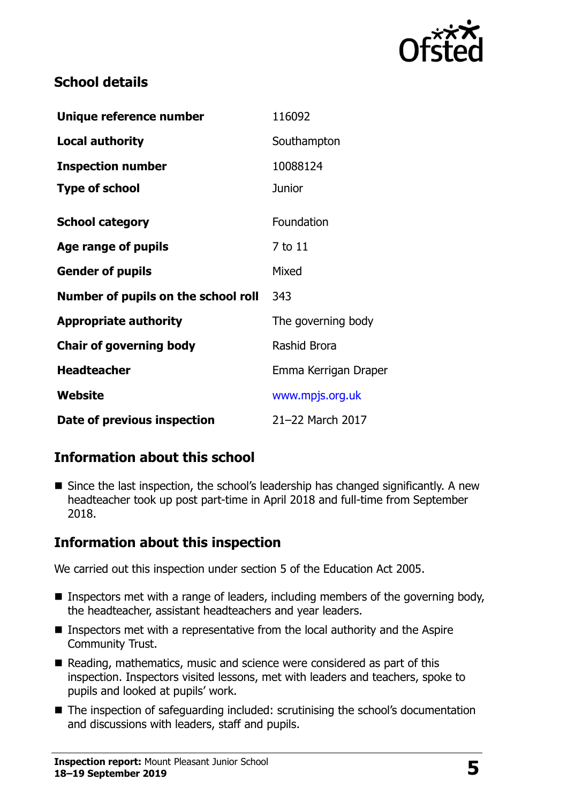

## **School details**

| Unique reference number             | 116092               |
|-------------------------------------|----------------------|
| <b>Local authority</b>              | Southampton          |
| <b>Inspection number</b>            | 10088124             |
| <b>Type of school</b>               | <b>Junior</b>        |
| <b>School category</b>              | Foundation           |
| Age range of pupils                 | 7 to 11              |
| <b>Gender of pupils</b>             | Mixed                |
| Number of pupils on the school roll | 343                  |
| <b>Appropriate authority</b>        | The governing body   |
| <b>Chair of governing body</b>      | <b>Rashid Brora</b>  |
| <b>Headteacher</b>                  | Emma Kerrigan Draper |
| Website                             | www.mpjs.org.uk      |
| Date of previous inspection         | 21-22 March 2017     |

## **Information about this school**

■ Since the last inspection, the school's leadership has changed significantly. A new headteacher took up post part-time in April 2018 and full-time from September 2018.

## **Information about this inspection**

We carried out this inspection under section 5 of the Education Act 2005.

- Inspectors met with a range of leaders, including members of the governing body, the headteacher, assistant headteachers and year leaders.
- Inspectors met with a representative from the local authority and the Aspire Community Trust.
- Reading, mathematics, music and science were considered as part of this inspection. Inspectors visited lessons, met with leaders and teachers, spoke to pupils and looked at pupils' work.
- The inspection of safeguarding included: scrutinising the school's documentation and discussions with leaders, staff and pupils.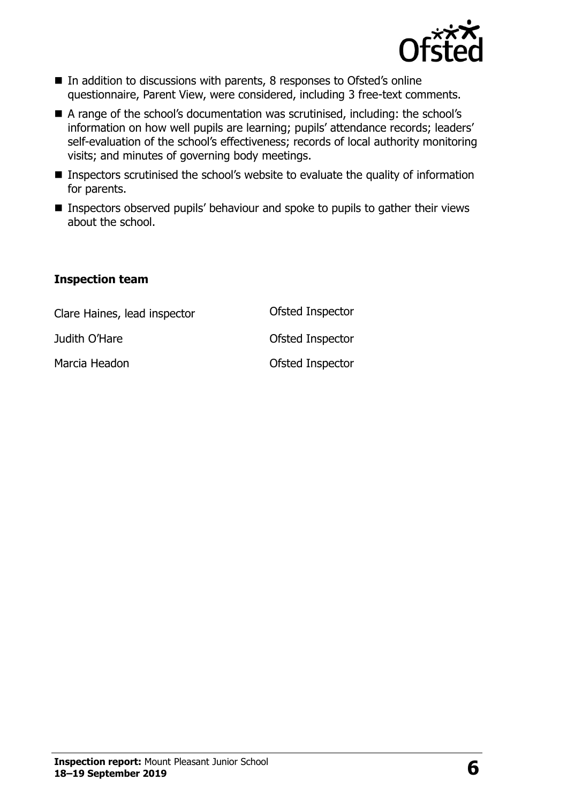

- In addition to discussions with parents, 8 responses to Ofsted's online questionnaire, Parent View, were considered, including 3 free-text comments.
- A range of the school's documentation was scrutinised, including: the school's information on how well pupils are learning; pupils' attendance records; leaders' self-evaluation of the school's effectiveness; records of local authority monitoring visits; and minutes of governing body meetings.
- Inspectors scrutinised the school's website to evaluate the quality of information for parents.
- Inspectors observed pupils' behaviour and spoke to pupils to gather their views about the school.

#### **Inspection team**

| Clare Haines, lead inspector | Ofsted Inspector |
|------------------------------|------------------|
| Judith O'Hare                | Ofsted Inspector |
| Marcia Headon                | Ofsted Inspector |